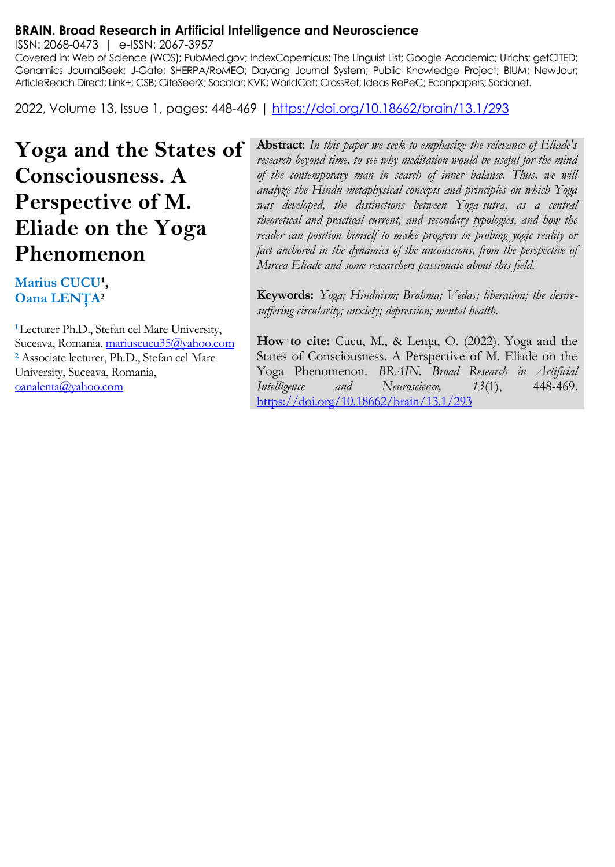#### **BRAIN. Broad Research in Artificial Intelligence and Neuroscience**

ISSN: 2068-0473 | e-ISSN: 2067-3957

Covered in: Web of Science (WOS); PubMed.gov; IndexCopernicus; The Linguist List; Google Academic; Ulrichs; getCITED; Genamics JournalSeek; J-Gate; SHERPA/RoMEO; Dayang Journal System; Public Knowledge Project; BIUM; NewJour; ArticleReach Direct; Link+; CSB; CiteSeerX; Socolar; KVK; WorldCat; CrossRef; Ideas RePeC; Econpapers; Socionet.

2022, Volume 13, Issue 1, pages: 448-469 |<https://doi.org/10.18662/brain/13.1/293>

**Yoga and the States of Consciousness. A Perspective of M. Eliade on the Yoga Phenomenon**

# Marius CUCU<sup>1</sup>, **Oana LENŢA<sup>2</sup>**

**<sup>1</sup>**Lecturer Ph.D., Stefan cel Mare University, Suceava, Romania. mariuscucu35@yahoo.com **<sup>2</sup>** Associate lecturer, Ph.D., Stefan cel Mare University, Suceava, Romania, [oanalenta@yahoo.com](mailto:oanalenta@yahoo.com) 

**Abstract**: *In this paper we seek to emphasize the relevance of Eliade's research beyond time, to see why meditation would be useful for the mind of the contemporary man in search of inner balance. Thus, we will analyze the Hindu metaphysical concepts and principles on which Yoga was developed, the distinctions between Yoga-sutra, as a central theoretical and practical current, and secondary typologies, and how the reader can position himself to make progress in probing yogic reality or fact anchored in the dynamics of the unconscious, from the perspective of Mircea Eliade and some researchers passionate about this field.*

**Keywords:** *Yoga; Hinduism; Brahma; Vedas; liberation; the desiresuffering circularity; anxiety; depression; mental health.*

**How to cite:** Cucu, M., & Lenţa, O. (2022). Yoga and the States of Consciousness. A Perspective of M. Eliade on the Yoga Phenomenon. *BRAIN. Broad Research in Artificial Intelligence and Neuroscience, 13*(1), 448-469. <https://doi.org/10.18662/brain/13.1/293>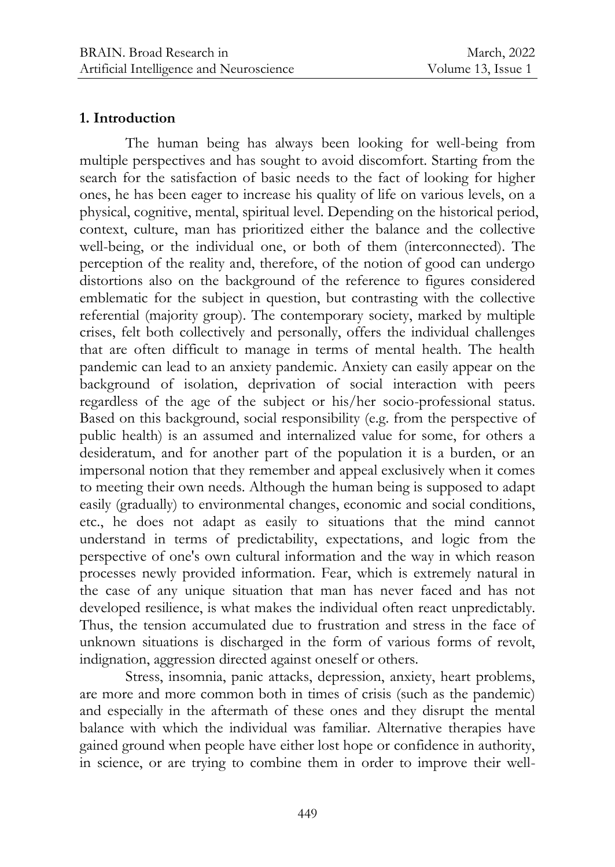#### **1. Introduction**

The human being has always been looking for well-being from multiple perspectives and has sought to avoid discomfort. Starting from the search for the satisfaction of basic needs to the fact of looking for higher ones, he has been eager to increase his quality of life on various levels, on a physical, cognitive, mental, spiritual level. Depending on the historical period, context, culture, man has prioritized either the balance and the collective well-being, or the individual one, or both of them (interconnected). The perception of the reality and, therefore, of the notion of good can undergo distortions also on the background of the reference to figures considered emblematic for the subject in question, but contrasting with the collective referential (majority group). The contemporary society, marked by multiple crises, felt both collectively and personally, offers the individual challenges that are often difficult to manage in terms of mental health. The health pandemic can lead to an anxiety pandemic. Anxiety can easily appear on the background of isolation, deprivation of social interaction with peers regardless of the age of the subject or his/her socio-professional status. Based on this background, social responsibility (e.g. from the perspective of public health) is an assumed and internalized value for some, for others a desideratum, and for another part of the population it is a burden, or an impersonal notion that they remember and appeal exclusively when it comes to meeting their own needs. Although the human being is supposed to adapt easily (gradually) to environmental changes, economic and social conditions, etc., he does not adapt as easily to situations that the mind cannot understand in terms of predictability, expectations, and logic from the perspective of one's own cultural information and the way in which reason processes newly provided information. Fear, which is extremely natural in the case of any unique situation that man has never faced and has not developed resilience, is what makes the individual often react unpredictably. Thus, the tension accumulated due to frustration and stress in the face of unknown situations is discharged in the form of various forms of revolt, indignation, aggression directed against oneself or others.

Stress, insomnia, panic attacks, depression, anxiety, heart problems, are more and more common both in times of crisis (such as the pandemic) and especially in the aftermath of these ones and they disrupt the mental balance with which the individual was familiar. Alternative therapies have gained ground when people have either lost hope or confidence in authority, in science, or are trying to combine them in order to improve their well-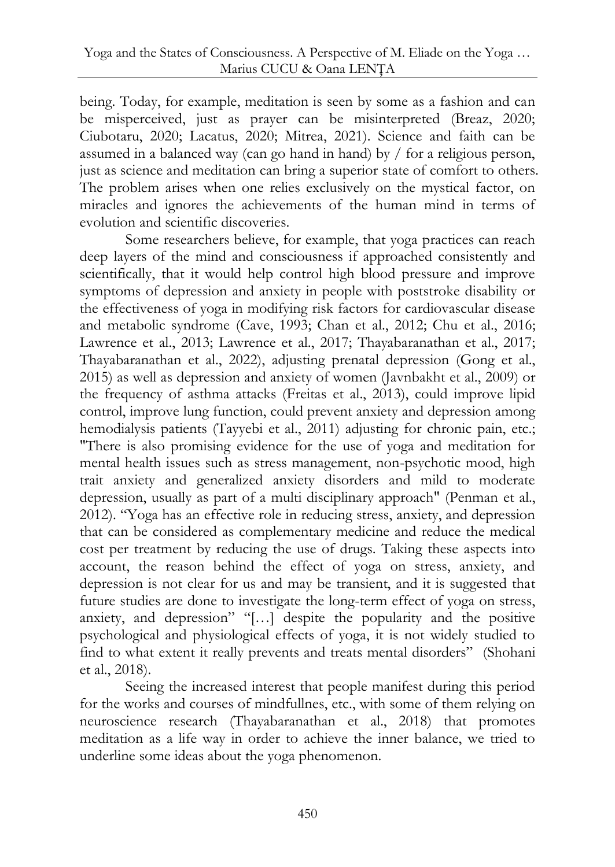being. Today, for example, meditation is seen by some as a fashion and can be misperceived, just as prayer can be misinterpreted (Breaz, 2020; Ciubotaru, 2020; Lacatus, 2020; Mitrea, 2021). Science and faith can be assumed in a balanced way (can go hand in hand) by / for a religious person, just as science and meditation can bring a superior state of comfort to others. The problem arises when one relies exclusively on the mystical factor, on miracles and ignores the achievements of the human mind in terms of evolution and scientific discoveries.

Some researchers believe, for example, that yoga practices can reach deep layers of the mind and consciousness if approached consistently and scientifically, that it would help control high blood pressure and improve symptoms of depression and anxiety in people with poststroke disability or the effectiveness of yoga in modifying risk factors for cardiovascular disease and metabolic syndrome (Cave, 1993; Chan et al., 2012; Chu et al., 2016; Lawrence et al., 2013; Lawrence et al., 2017; Thayabaranathan et al., 2017; Thayabaranathan et al., 2022), adjusting prenatal depression (Gong et al., 2015) as well as depression and anxiety of women (Javnbakht et al., 2009) or the frequency of asthma attacks (Freitas et al., 2013), could improve lipid control, improve lung function, could prevent anxiety and depression among hemodialysis patients (Tayyebi et al., 2011) adjusting for chronic pain, etc.; "There is also promising evidence for the use of yoga and meditation for mental health issues such as stress management, non-psychotic mood, high trait anxiety and generalized anxiety disorders and mild to moderate depression, usually as part of a multi disciplinary approach" (Penman et al., 2012). "Yoga has an effective role in reducing stress, anxiety, and depression that can be considered as complementary medicine and reduce the medical cost per treatment by reducing the use of drugs. Taking these aspects into account, the reason behind the effect of yoga on stress, anxiety, and depression is not clear for us and may be transient, and it is suggested that future studies are done to investigate the long-term effect of yoga on stress, anxiety, and depression" "[…] despite the popularity and the positive psychological and physiological effects of yoga, it is not widely studied to find to what extent it really prevents and treats mental disorders" (Shohani et al., 2018).

Seeing the increased interest that people manifest during this period for the works and courses of mindfullnes, etc., with some of them relying on neuroscience research (Thayabaranathan et al., 2018) that promotes meditation as a life way in order to achieve the inner balance, we tried to underline some ideas about the yoga phenomenon.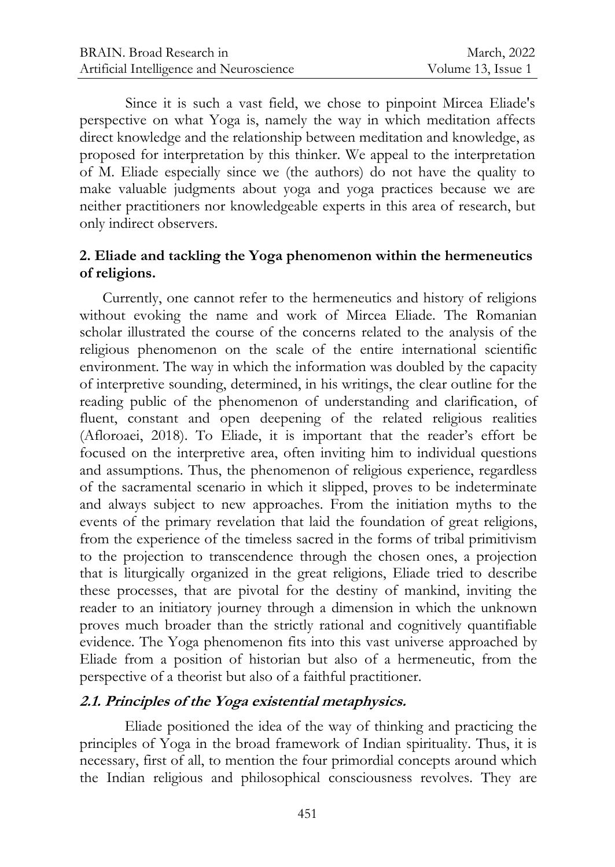Since it is such a vast field, we chose to pinpoint Mircea Eliade's perspective on what Yoga is, namely the way in which meditation affects direct knowledge and the relationship between meditation and knowledge, as proposed for interpretation by this thinker. We appeal to the interpretation of M. Eliade especially since we (the authors) do not have the quality to make valuable judgments about yoga and yoga practices because we are neither practitioners nor knowledgeable experts in this area of research, but only indirect observers.

## **2. Eliade and tackling the Yoga phenomenon within the hermeneutics of religions.**

Currently, one cannot refer to the hermeneutics and history of religions without evoking the name and work of Mircea Eliade. The Romanian scholar illustrated the course of the concerns related to the analysis of the religious phenomenon on the scale of the entire international scientific environment. The way in which the information was doubled by the capacity of interpretive sounding, determined, in his writings, the clear outline for the reading public of the phenomenon of understanding and clarification, of fluent, constant and open deepening of the related religious realities (Afloroaei, 2018). To Eliade, it is important that the reader's effort be focused on the interpretive area, often inviting him to individual questions and assumptions. Thus, the phenomenon of religious experience, regardless of the sacramental scenario in which it slipped, proves to be indeterminate and always subject to new approaches. From the initiation myths to the events of the primary revelation that laid the foundation of great religions, from the experience of the timeless sacred in the forms of tribal primitivism to the projection to transcendence through the chosen ones, a projection that is liturgically organized in the great religions, Eliade tried to describe these processes, that are pivotal for the destiny of mankind, inviting the reader to an initiatory journey through a dimension in which the unknown proves much broader than the strictly rational and cognitively quantifiable evidence. The Yoga phenomenon fits into this vast universe approached by Eliade from a position of historian but also of a hermeneutic, from the perspective of a theorist but also of a faithful practitioner.

## **2.1. Principles of the Yoga existential metaphysics.**

Eliade positioned the idea of the way of thinking and practicing the principles of Yoga in the broad framework of Indian spirituality. Thus, it is necessary, first of all, to mention the four primordial concepts around which the Indian religious and philosophical consciousness revolves. They are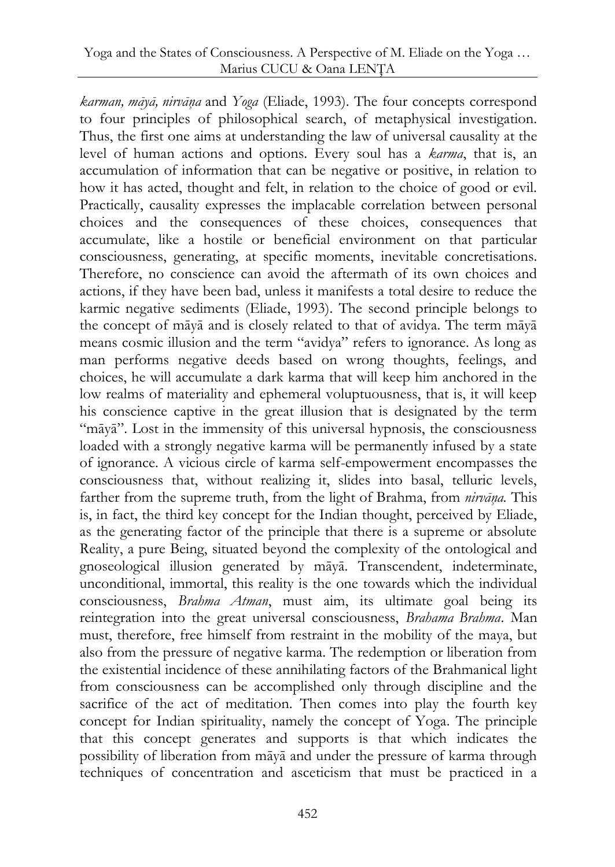*karman, māyā, nirvāņa* and *Yoga* (Eliade, 1993). The four concepts correspond to four principles of philosophical search, of metaphysical investigation. Thus, the first one aims at understanding the law of universal causality at the level of human actions and options. Every soul has a *karma*, that is, an accumulation of information that can be negative or positive, in relation to how it has acted, thought and felt, in relation to the choice of good or evil. Practically, causality expresses the implacable correlation between personal choices and the consequences of these choices, consequences that accumulate, like a hostile or beneficial environment on that particular consciousness, generating, at specific moments, inevitable concretisations. Therefore, no conscience can avoid the aftermath of its own choices and actions, if they have been bad, unless it manifests a total desire to reduce the karmic negative sediments (Eliade, 1993). The second principle belongs to the concept of māyā and is closely related to that of avidya. The term māyā means cosmic illusion and the term "avidya" refers to ignorance. As long as man performs negative deeds based on wrong thoughts, feelings, and choices, he will accumulate a dark karma that will keep him anchored in the low realms of materiality and ephemeral voluptuousness, that is, it will keep his conscience captive in the great illusion that is designated by the term "māyā". Lost in the immensity of this universal hypnosis, the consciousness loaded with a strongly negative karma will be permanently infused by a state of ignorance. A vicious circle of karma self-empowerment encompasses the consciousness that, without realizing it, slides into basal, telluric levels, farther from the supreme truth, from the light of Brahma, from *nirvāņa.* This is, in fact, the third key concept for the Indian thought, perceived by Eliade, as the generating factor of the principle that there is a supreme or absolute Reality, a pure Being, situated beyond the complexity of the ontological and gnoseological illusion generated by māyā. Transcendent, indeterminate, unconditional, immortal, this reality is the one towards which the individual consciousness, *Brahma Atman*, must aim, its ultimate goal being its reintegration into the great universal consciousness, *Brahama Brahma*. Man must, therefore, free himself from restraint in the mobility of the maya, but also from the pressure of negative karma. The redemption or liberation from the existential incidence of these annihilating factors of the Brahmanical light from consciousness can be accomplished only through discipline and the sacrifice of the act of meditation. Then comes into play the fourth key concept for Indian spirituality, namely the concept of Yoga. The principle that this concept generates and supports is that which indicates the possibility of liberation from māyā and under the pressure of karma through techniques of concentration and asceticism that must be practiced in a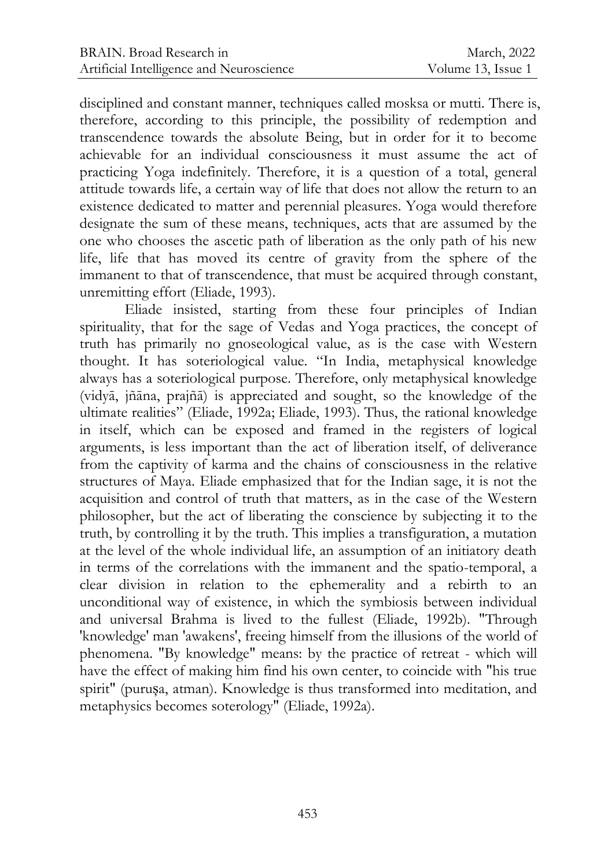disciplined and constant manner, techniques called mosksa or mutti. There is, therefore, according to this principle, the possibility of redemption and transcendence towards the absolute Being, but in order for it to become achievable for an individual consciousness it must assume the act of practicing Yoga indefinitely. Therefore, it is a question of a total, general attitude towards life, a certain way of life that does not allow the return to an existence dedicated to matter and perennial pleasures. Yoga would therefore designate the sum of these means, techniques, acts that are assumed by the one who chooses the ascetic path of liberation as the only path of his new life, life that has moved its centre of gravity from the sphere of the immanent to that of transcendence, that must be acquired through constant, unremitting effort (Eliade, 1993).

Eliade insisted, starting from these four principles of Indian spirituality, that for the sage of Vedas and Yoga practices, the concept of truth has primarily no gnoseological value, as is the case with Western thought. It has soteriological value. "In India, metaphysical knowledge always has a soteriological purpose. Therefore, only metaphysical knowledge (vidyā, jñāna, prajñā) is appreciated and sought, so the knowledge of the ultimate realities" (Eliade, 1992a; Eliade, 1993). Thus, the rational knowledge in itself, which can be exposed and framed in the registers of logical arguments, is less important than the act of liberation itself, of deliverance from the captivity of karma and the chains of consciousness in the relative structures of Maya. Eliade emphasized that for the Indian sage, it is not the acquisition and control of truth that matters, as in the case of the Western philosopher, but the act of liberating the conscience by subjecting it to the truth, by controlling it by the truth. This implies a transfiguration, a mutation at the level of the whole individual life, an assumption of an initiatory death in terms of the correlations with the immanent and the spatio-temporal, a clear division in relation to the ephemerality and a rebirth to an unconditional way of existence, in which the symbiosis between individual and universal Brahma is lived to the fullest (Eliade, 1992b). "Through 'knowledge' man 'awakens', freeing himself from the illusions of the world of phenomena. "By knowledge" means: by the practice of retreat - which will have the effect of making him find his own center, to coincide with "his true spirit" (purușa, atman). Knowledge is thus transformed into meditation, and metaphysics becomes soterology" (Eliade, 1992a).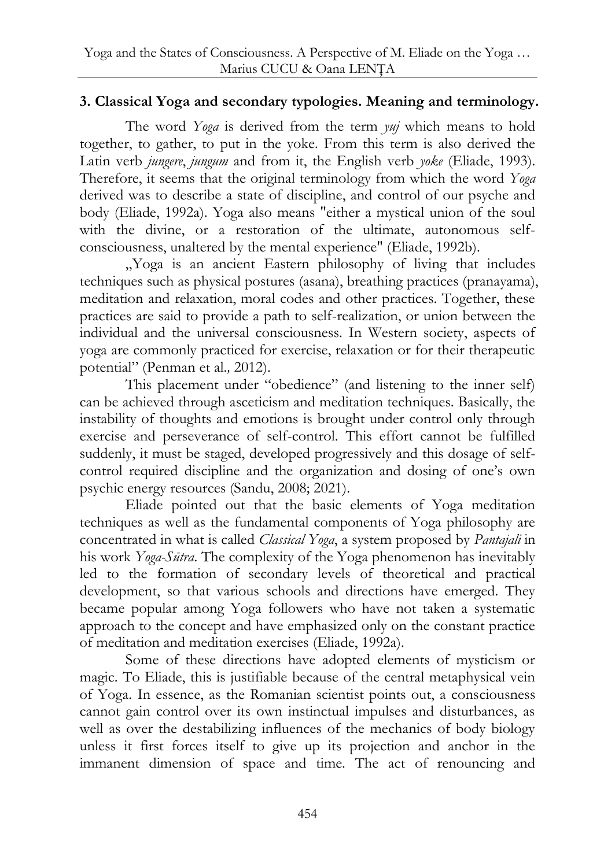## **3. Classical Yoga and secondary typologies. Meaning and terminology.**

The word *Yoga* is derived from the term *yuj* which means to hold together, to gather, to put in the yoke. From this term is also derived the Latin verb *jungere*, *jungum* and from it, the English verb *yoke* (Eliade, 1993). Therefore, it seems that the original terminology from which the word *Yoga* derived was to describe a state of discipline, and control of our psyche and body (Eliade, 1992a). Yoga also means "either a mystical union of the soul with the divine, or a restoration of the ultimate, autonomous selfconsciousness, unaltered by the mental experience" (Eliade, 1992b).

"Yoga is an ancient Eastern philosophy of living that includes techniques such as physical postures (asana), breathing practices (pranayama), meditation and relaxation, moral codes and other practices. Together, these practices are said to provide a path to self-realization, or union between the individual and the universal consciousness. In Western society, aspects of yoga are commonly practiced for exercise, relaxation or for their therapeutic potential" (Penman et al.*,* 2012).

This placement under "obedience" (and listening to the inner self) can be achieved through asceticism and meditation techniques. Basically, the instability of thoughts and emotions is brought under control only through exercise and perseverance of self-control. This effort cannot be fulfilled suddenly, it must be staged, developed progressively and this dosage of selfcontrol required discipline and the organization and dosing of one's own psychic energy resources (Sandu, 2008; 2021).

Eliade pointed out that the basic elements of Yoga meditation techniques as well as the fundamental components of Yoga philosophy are concentrated in what is called *Classical Yoga*, a system proposed by *Pantajali* in his work *Yoga-Sūtra*. The complexity of the Yoga phenomenon has inevitably led to the formation of secondary levels of theoretical and practical development, so that various schools and directions have emerged. They became popular among Yoga followers who have not taken a systematic approach to the concept and have emphasized only on the constant practice of meditation and meditation exercises (Eliade, 1992a).

Some of these directions have adopted elements of mysticism or magic. To Eliade, this is justifiable because of the central metaphysical vein of Yoga. In essence, as the Romanian scientist points out, a consciousness cannot gain control over its own instinctual impulses and disturbances, as well as over the destabilizing influences of the mechanics of body biology unless it first forces itself to give up its projection and anchor in the immanent dimension of space and time. The act of renouncing and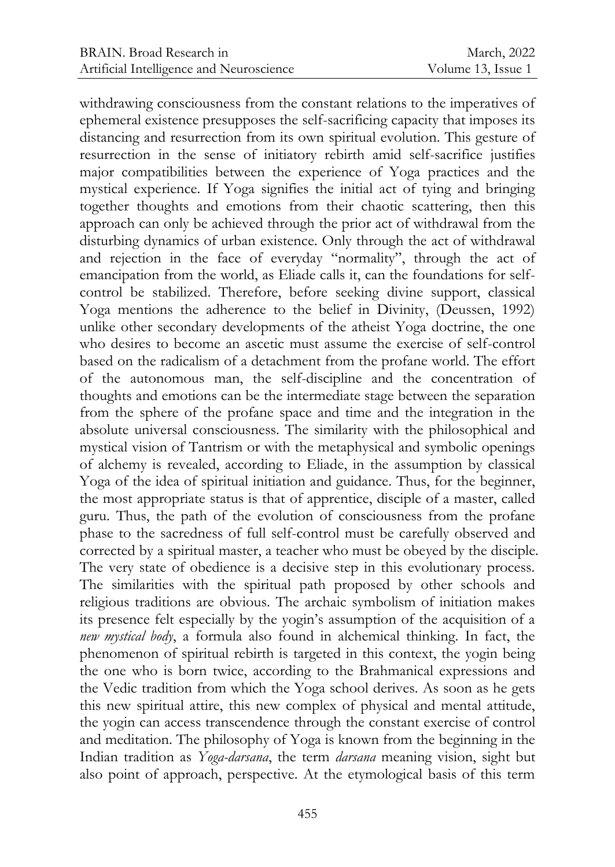withdrawing consciousness from the constant relations to the imperatives of ephemeral existence presupposes the self-sacrificing capacity that imposes its distancing and resurrection from its own spiritual evolution. This gesture of resurrection in the sense of initiatory rebirth amid self-sacrifice justifies major compatibilities between the experience of Yoga practices and the mystical experience. If Yoga signifies the initial act of tying and bringing together thoughts and emotions from their chaotic scattering, then this approach can only be achieved through the prior act of withdrawal from the disturbing dynamics of urban existence. Only through the act of withdrawal and rejection in the face of everyday "normality", through the act of emancipation from the world, as Eliade calls it, can the foundations for selfcontrol be stabilized. Therefore, before seeking divine support, classical Yoga mentions the adherence to the belief in Divinity, (Deussen, 1992) unlike other secondary developments of the atheist Yoga doctrine, the one who desires to become an ascetic must assume the exercise of self-control based on the radicalism of a detachment from the profane world. The effort of the autonomous man, the self-discipline and the concentration of thoughts and emotions can be the intermediate stage between the separation from the sphere of the profane space and time and the integration in the absolute universal consciousness. The similarity with the philosophical and mystical vision of Tantrism or with the metaphysical and symbolic openings of alchemy is revealed, according to Eliade, in the assumption by classical Yoga of the idea of spiritual initiation and guidance. Thus, for the beginner, the most appropriate status is that of apprentice, disciple of a master, called guru. Thus, the path of the evolution of consciousness from the profane phase to the sacredness of full self-control must be carefully observed and corrected by a spiritual master, a teacher who must be obeyed by the disciple. The very state of obedience is a decisive step in this evolutionary process. The similarities with the spiritual path proposed by other schools and religious traditions are obvious. The archaic symbolism of initiation makes its presence felt especially by the yogin's assumption of the acquisition of a *new mystical body*, a formula also found in alchemical thinking. In fact, the phenomenon of spiritual rebirth is targeted in this context, the yogin being the one who is born twice, according to the Brahmanical expressions and the Vedic tradition from which the Yoga school derives. As soon as he gets this new spiritual attire, this new complex of physical and mental attitude, the yogin can access transcendence through the constant exercise of control and meditation. The philosophy of Yoga is known from the beginning in the Indian tradition as *Yoga-darsana*, the term *darsana* meaning vision, sight but also point of approach, perspective. At the etymological basis of this term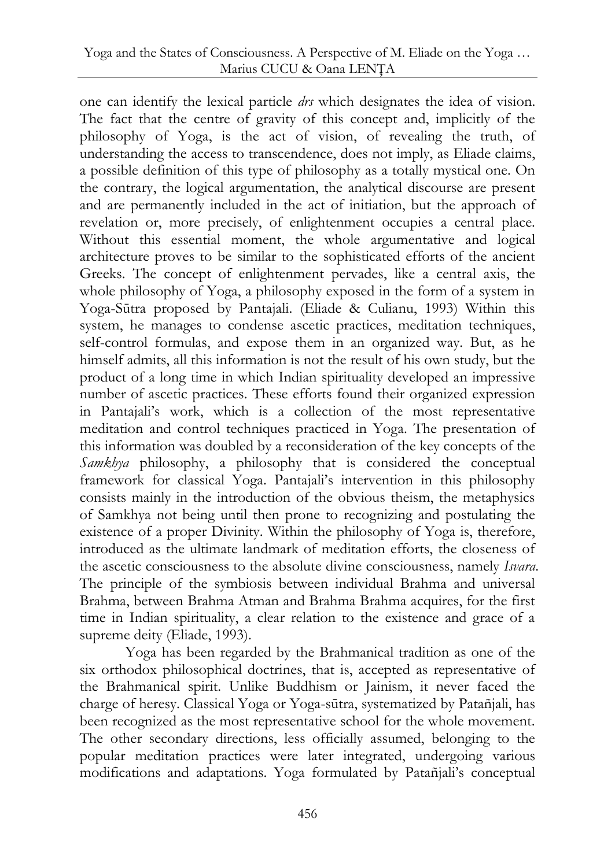one can identify the lexical particle *drs* which designates the idea of vision. The fact that the centre of gravity of this concept and, implicitly of the philosophy of Yoga, is the act of vision, of revealing the truth, of understanding the access to transcendence, does not imply, as Eliade claims, a possible definition of this type of philosophy as a totally mystical one. On the contrary, the logical argumentation, the analytical discourse are present and are permanently included in the act of initiation, but the approach of revelation or, more precisely, of enlightenment occupies a central place. Without this essential moment, the whole argumentative and logical architecture proves to be similar to the sophisticated efforts of the ancient Greeks. The concept of enlightenment pervades, like a central axis, the whole philosophy of Yoga, a philosophy exposed in the form of a system in Yoga-Sūtra proposed by Pantajali. (Eliade & Culianu, 1993) Within this system, he manages to condense ascetic practices, meditation techniques, self-control formulas, and expose them in an organized way. But, as he himself admits, all this information is not the result of his own study, but the product of a long time in which Indian spirituality developed an impressive number of ascetic practices. These efforts found their organized expression in Pantajali's work, which is a collection of the most representative meditation and control techniques practiced in Yoga. The presentation of this information was doubled by a reconsideration of the key concepts of the *Samkhya* philosophy, a philosophy that is considered the conceptual framework for classical Yoga. Pantajali's intervention in this philosophy consists mainly in the introduction of the obvious theism, the metaphysics of Samkhya not being until then prone to recognizing and postulating the existence of a proper Divinity. Within the philosophy of Yoga is, therefore, introduced as the ultimate landmark of meditation efforts, the closeness of the ascetic consciousness to the absolute divine consciousness, namely *Isvara*. The principle of the symbiosis between individual Brahma and universal Brahma, between Brahma Atman and Brahma Brahma acquires, for the first time in Indian spirituality, a clear relation to the existence and grace of a supreme deity (Eliade, 1993).

Yoga has been regarded by the Brahmanical tradition as one of the six orthodox philosophical doctrines, that is, accepted as representative of the Brahmanical spirit. Unlike Buddhism or Jainism, it never faced the charge of heresy. Classical Yoga or Yoga-sūtra, systematized by Patañjali, has been recognized as the most representative school for the whole movement. The other secondary directions, less officially assumed, belonging to the popular meditation practices were later integrated, undergoing various modifications and adaptations. Yoga formulated by Patañjali's conceptual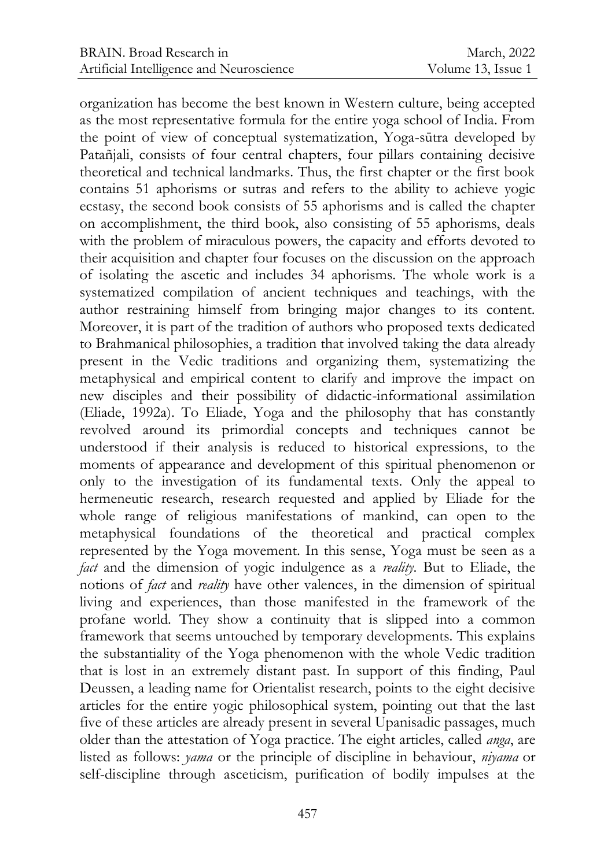organization has become the best known in Western culture, being accepted as the most representative formula for the entire yoga school of India. From the point of view of conceptual systematization, Yoga-sūtra developed by Patañjali, consists of four central chapters, four pillars containing decisive theoretical and technical landmarks. Thus, the first chapter or the first book contains 51 aphorisms or sutras and refers to the ability to achieve yogic ecstasy, the second book consists of 55 aphorisms and is called the chapter on accomplishment, the third book, also consisting of 55 aphorisms, deals with the problem of miraculous powers, the capacity and efforts devoted to their acquisition and chapter four focuses on the discussion on the approach of isolating the ascetic and includes 34 aphorisms. The whole work is a systematized compilation of ancient techniques and teachings, with the author restraining himself from bringing major changes to its content. Moreover, it is part of the tradition of authors who proposed texts dedicated to Brahmanical philosophies, a tradition that involved taking the data already present in the Vedic traditions and organizing them, systematizing the metaphysical and empirical content to clarify and improve the impact on new disciples and their possibility of didactic-informational assimilation (Eliade, 1992a). To Eliade, Yoga and the philosophy that has constantly revolved around its primordial concepts and techniques cannot be understood if their analysis is reduced to historical expressions, to the moments of appearance and development of this spiritual phenomenon or only to the investigation of its fundamental texts. Only the appeal to hermeneutic research, research requested and applied by Eliade for the whole range of religious manifestations of mankind, can open to the metaphysical foundations of the theoretical and practical complex represented by the Yoga movement. In this sense, Yoga must be seen as a *fact* and the dimension of yogic indulgence as a *reality*. But to Eliade, the notions of *fact* and *reality* have other valences, in the dimension of spiritual living and experiences, than those manifested in the framework of the profane world. They show a continuity that is slipped into a common framework that seems untouched by temporary developments. This explains the substantiality of the Yoga phenomenon with the whole Vedic tradition that is lost in an extremely distant past. In support of this finding, Paul Deussen, a leading name for Orientalist research, points to the eight decisive articles for the entire yogic philosophical system, pointing out that the last five of these articles are already present in several Upanisadic passages, much older than the attestation of Yoga practice. The eight articles, called *anga*, are listed as follows: *yama* or the principle of discipline in behaviour, *niyama* or self-discipline through asceticism, purification of bodily impulses at the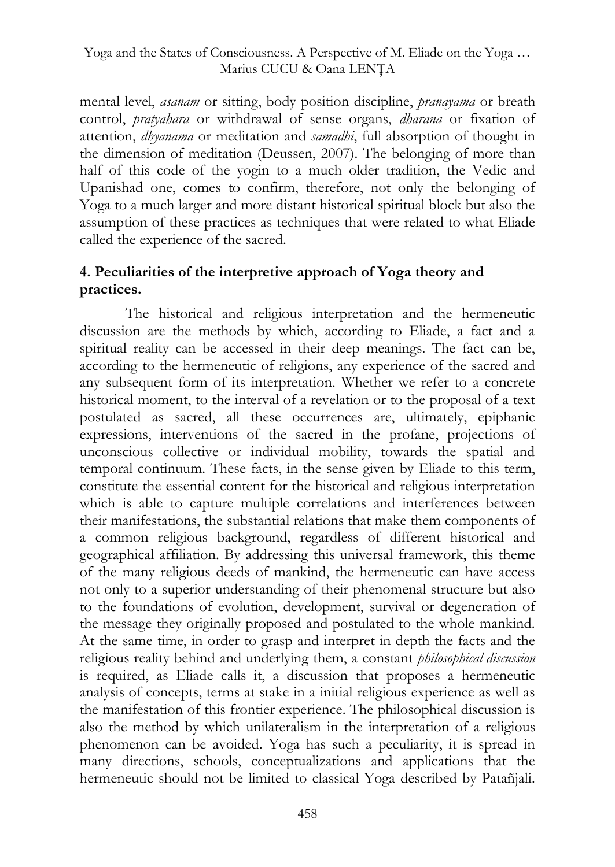mental level, *asanam* or sitting, body position discipline, *pranayama* or breath control, *pratyahara* or withdrawal of sense organs, *dharana* or fixation of attention, *dhyanama* or meditation and *samadhi*, full absorption of thought in the dimension of meditation (Deussen, 2007). The belonging of more than half of this code of the yogin to a much older tradition, the Vedic and Upanishad one, comes to confirm, therefore, not only the belonging of Yoga to a much larger and more distant historical spiritual block but also the assumption of these practices as techniques that were related to what Eliade called the experience of the sacred.

# **4. Peculiarities of the interpretive approach of Yoga theory and practices.**

The historical and religious interpretation and the hermeneutic discussion are the methods by which, according to Eliade, a fact and a spiritual reality can be accessed in their deep meanings. The fact can be, according to the hermeneutic of religions, any experience of the sacred and any subsequent form of its interpretation. Whether we refer to a concrete historical moment, to the interval of a revelation or to the proposal of a text postulated as sacred, all these occurrences are, ultimately, epiphanic expressions, interventions of the sacred in the profane, projections of unconscious collective or individual mobility, towards the spatial and temporal continuum. These facts, in the sense given by Eliade to this term, constitute the essential content for the historical and religious interpretation which is able to capture multiple correlations and interferences between their manifestations, the substantial relations that make them components of a common religious background, regardless of different historical and geographical affiliation. By addressing this universal framework, this theme of the many religious deeds of mankind, the hermeneutic can have access not only to a superior understanding of their phenomenal structure but also to the foundations of evolution, development, survival or degeneration of the message they originally proposed and postulated to the whole mankind. At the same time, in order to grasp and interpret in depth the facts and the religious reality behind and underlying them, a constant *philosophical discussion* is required, as Eliade calls it, a discussion that proposes a hermeneutic analysis of concepts, terms at stake in a initial religious experience as well as the manifestation of this frontier experience. The philosophical discussion is also the method by which unilateralism in the interpretation of a religious phenomenon can be avoided. Yoga has such a peculiarity, it is spread in many directions, schools, conceptualizations and applications that the hermeneutic should not be limited to classical Yoga described by Patañjali.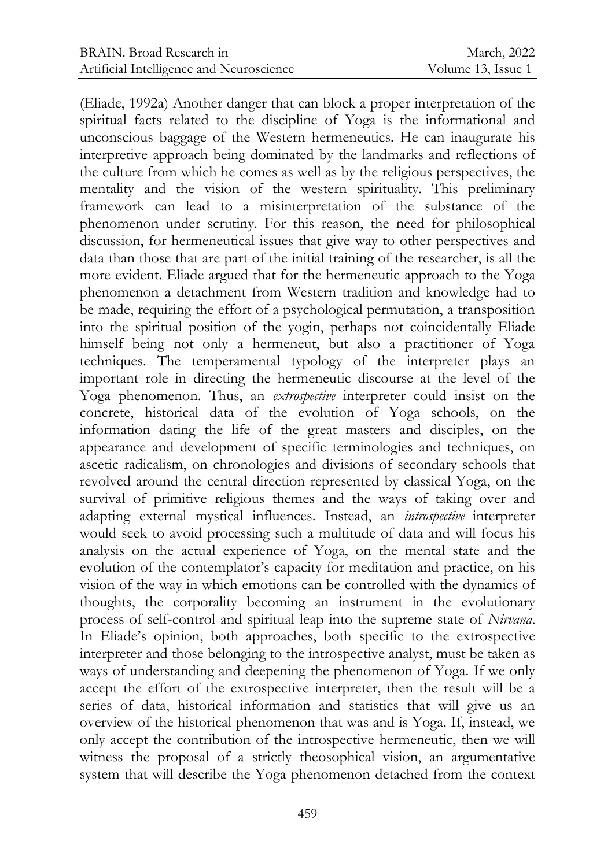(Eliade, 1992a) Another danger that can block a proper interpretation of the spiritual facts related to the discipline of Yoga is the informational and unconscious baggage of the Western hermeneutics. He can inaugurate his interpretive approach being dominated by the landmarks and reflections of the culture from which he comes as well as by the religious perspectives, the mentality and the vision of the western spirituality. This preliminary framework can lead to a misinterpretation of the substance of the phenomenon under scrutiny. For this reason, the need for philosophical discussion, for hermeneutical issues that give way to other perspectives and data than those that are part of the initial training of the researcher, is all the more evident. Eliade argued that for the hermeneutic approach to the Yoga phenomenon a detachment from Western tradition and knowledge had to be made, requiring the effort of a psychological permutation, a transposition into the spiritual position of the yogin, perhaps not coincidentally Eliade himself being not only a hermeneut, but also a practitioner of Yoga techniques. The temperamental typology of the interpreter plays an important role in directing the hermeneutic discourse at the level of the Yoga phenomenon. Thus, an *extrospective* interpreter could insist on the concrete, historical data of the evolution of Yoga schools, on the information dating the life of the great masters and disciples, on the appearance and development of specific terminologies and techniques, on ascetic radicalism, on chronologies and divisions of secondary schools that revolved around the central direction represented by classical Yoga, on the survival of primitive religious themes and the ways of taking over and adapting external mystical influences. Instead, an *introspective* interpreter would seek to avoid processing such a multitude of data and will focus his analysis on the actual experience of Yoga, on the mental state and the evolution of the contemplator's capacity for meditation and practice, on his vision of the way in which emotions can be controlled with the dynamics of thoughts, the corporality becoming an instrument in the evolutionary process of self-control and spiritual leap into the supreme state of *Nirvana*. In Eliade's opinion, both approaches, both specific to the extrospective interpreter and those belonging to the introspective analyst, must be taken as ways of understanding and deepening the phenomenon of Yoga. If we only accept the effort of the extrospective interpreter, then the result will be a series of data, historical information and statistics that will give us an overview of the historical phenomenon that was and is Yoga. If, instead, we only accept the contribution of the introspective hermeneutic, then we will witness the proposal of a strictly theosophical vision, an argumentative system that will describe the Yoga phenomenon detached from the context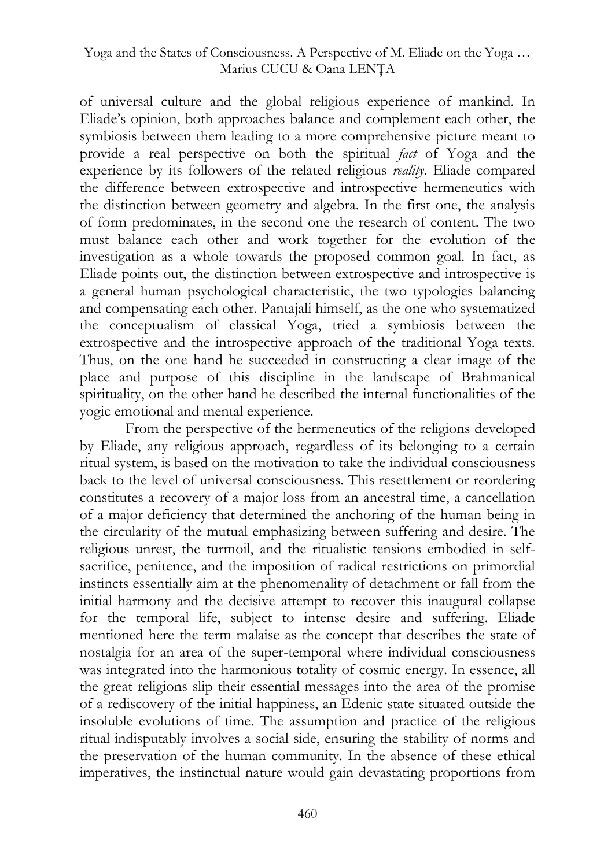of universal culture and the global religious experience of mankind. In Eliade's opinion, both approaches balance and complement each other, the symbiosis between them leading to a more comprehensive picture meant to provide a real perspective on both the spiritual *fact* of Yoga and the experience by its followers of the related religious *reality*. Eliade compared the difference between extrospective and introspective hermeneutics with the distinction between geometry and algebra. In the first one, the analysis of form predominates, in the second one the research of content. The two must balance each other and work together for the evolution of the investigation as a whole towards the proposed common goal. In fact, as Eliade points out, the distinction between extrospective and introspective is a general human psychological characteristic, the two typologies balancing and compensating each other. Pantajali himself, as the one who systematized the conceptualism of classical Yoga, tried a symbiosis between the extrospective and the introspective approach of the traditional Yoga texts. Thus, on the one hand he succeeded in constructing a clear image of the place and purpose of this discipline in the landscape of Brahmanical spirituality, on the other hand he described the internal functionalities of the yogic emotional and mental experience.

From the perspective of the hermeneutics of the religions developed by Eliade, any religious approach, regardless of its belonging to a certain ritual system, is based on the motivation to take the individual consciousness back to the level of universal consciousness. This resettlement or reordering constitutes a recovery of a major loss from an ancestral time, a cancellation of a major deficiency that determined the anchoring of the human being in the circularity of the mutual emphasizing between suffering and desire. The religious unrest, the turmoil, and the ritualistic tensions embodied in selfsacrifice, penitence, and the imposition of radical restrictions on primordial instincts essentially aim at the phenomenality of detachment or fall from the initial harmony and the decisive attempt to recover this inaugural collapse for the temporal life, subject to intense desire and suffering. Eliade mentioned here the term malaise as the concept that describes the state of nostalgia for an area of the super-temporal where individual consciousness was integrated into the harmonious totality of cosmic energy. In essence, all the great religions slip their essential messages into the area of the promise of a rediscovery of the initial happiness, an Edenic state situated outside the insoluble evolutions of time. The assumption and practice of the religious ritual indisputably involves a social side, ensuring the stability of norms and the preservation of the human community. In the absence of these ethical imperatives, the instinctual nature would gain devastating proportions from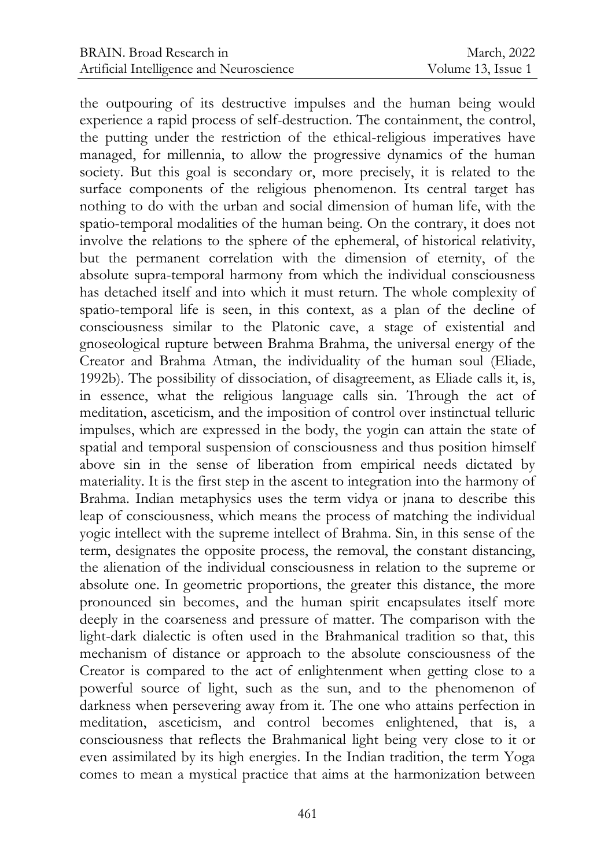the outpouring of its destructive impulses and the human being would experience a rapid process of self-destruction. The containment, the control, the putting under the restriction of the ethical-religious imperatives have managed, for millennia, to allow the progressive dynamics of the human society. But this goal is secondary or, more precisely, it is related to the surface components of the religious phenomenon. Its central target has nothing to do with the urban and social dimension of human life, with the spatio-temporal modalities of the human being. On the contrary, it does not involve the relations to the sphere of the ephemeral, of historical relativity, but the permanent correlation with the dimension of eternity, of the absolute supra-temporal harmony from which the individual consciousness has detached itself and into which it must return. The whole complexity of spatio-temporal life is seen, in this context, as a plan of the decline of consciousness similar to the Platonic cave, a stage of existential and gnoseological rupture between Brahma Brahma, the universal energy of the Creator and Brahma Atman, the individuality of the human soul (Eliade, 1992b). The possibility of dissociation, of disagreement, as Eliade calls it, is, in essence, what the religious language calls sin. Through the act of meditation, asceticism, and the imposition of control over instinctual telluric impulses, which are expressed in the body, the yogin can attain the state of spatial and temporal suspension of consciousness and thus position himself above sin in the sense of liberation from empirical needs dictated by materiality. It is the first step in the ascent to integration into the harmony of Brahma. Indian metaphysics uses the term vidya or jnana to describe this leap of consciousness, which means the process of matching the individual yogic intellect with the supreme intellect of Brahma. Sin, in this sense of the term, designates the opposite process, the removal, the constant distancing, the alienation of the individual consciousness in relation to the supreme or absolute one. In geometric proportions, the greater this distance, the more pronounced sin becomes, and the human spirit encapsulates itself more deeply in the coarseness and pressure of matter. The comparison with the light-dark dialectic is often used in the Brahmanical tradition so that, this mechanism of distance or approach to the absolute consciousness of the Creator is compared to the act of enlightenment when getting close to a powerful source of light, such as the sun, and to the phenomenon of darkness when persevering away from it. The one who attains perfection in meditation, asceticism, and control becomes enlightened, that is, a consciousness that reflects the Brahmanical light being very close to it or even assimilated by its high energies. In the Indian tradition, the term Yoga comes to mean a mystical practice that aims at the harmonization between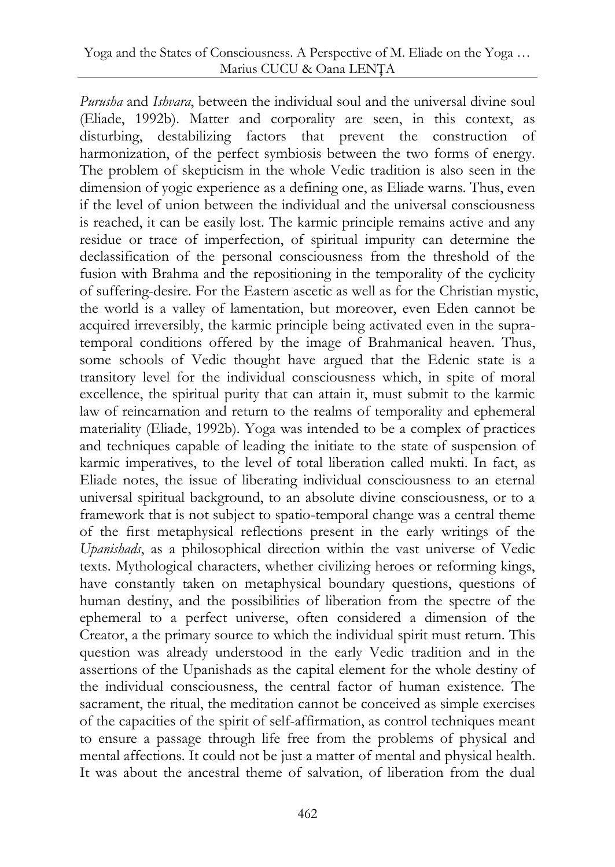*Purusha* and *Ishvara*, between the individual soul and the universal divine soul (Eliade, 1992b). Matter and corporality are seen, in this context, as disturbing, destabilizing factors that prevent the construction of harmonization, of the perfect symbiosis between the two forms of energy. The problem of skepticism in the whole Vedic tradition is also seen in the dimension of yogic experience as a defining one, as Eliade warns. Thus, even if the level of union between the individual and the universal consciousness is reached, it can be easily lost. The karmic principle remains active and any residue or trace of imperfection, of spiritual impurity can determine the declassification of the personal consciousness from the threshold of the fusion with Brahma and the repositioning in the temporality of the cyclicity of suffering-desire. For the Eastern ascetic as well as for the Christian mystic, the world is a valley of lamentation, but moreover, even Eden cannot be acquired irreversibly, the karmic principle being activated even in the supratemporal conditions offered by the image of Brahmanical heaven. Thus, some schools of Vedic thought have argued that the Edenic state is a transitory level for the individual consciousness which, in spite of moral excellence, the spiritual purity that can attain it, must submit to the karmic law of reincarnation and return to the realms of temporality and ephemeral materiality (Eliade, 1992b). Yoga was intended to be a complex of practices and techniques capable of leading the initiate to the state of suspension of karmic imperatives, to the level of total liberation called mukti. In fact, as Eliade notes, the issue of liberating individual consciousness to an eternal universal spiritual background, to an absolute divine consciousness, or to a framework that is not subject to spatio-temporal change was a central theme of the first metaphysical reflections present in the early writings of the *Upanishads*, as a philosophical direction within the vast universe of Vedic texts. Mythological characters, whether civilizing heroes or reforming kings, have constantly taken on metaphysical boundary questions, questions of human destiny, and the possibilities of liberation from the spectre of the ephemeral to a perfect universe, often considered a dimension of the Creator, a the primary source to which the individual spirit must return. This question was already understood in the early Vedic tradition and in the assertions of the Upanishads as the capital element for the whole destiny of the individual consciousness, the central factor of human existence. The sacrament, the ritual, the meditation cannot be conceived as simple exercises of the capacities of the spirit of self-affirmation, as control techniques meant to ensure a passage through life free from the problems of physical and mental affections. It could not be just a matter of mental and physical health. It was about the ancestral theme of salvation, of liberation from the dual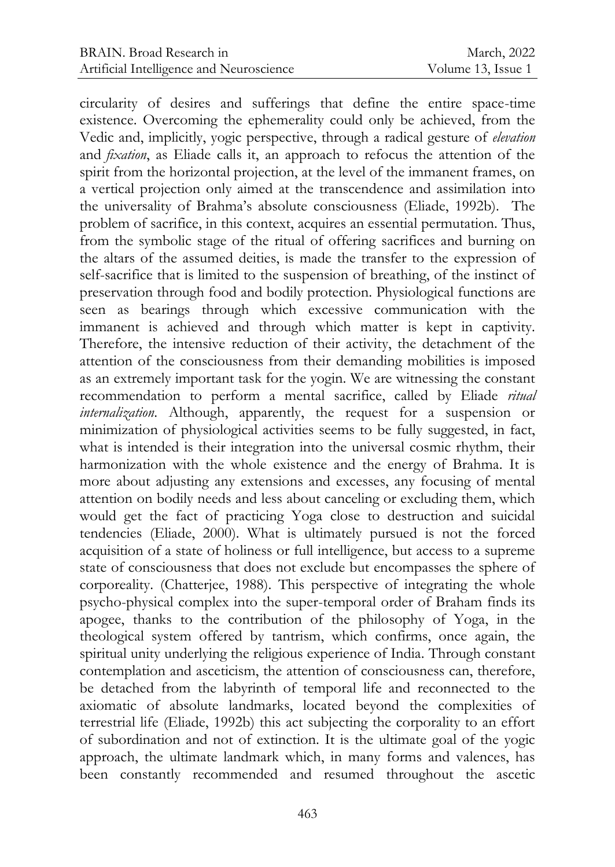circularity of desires and sufferings that define the entire space-time existence. Overcoming the ephemerality could only be achieved, from the Vedic and, implicitly, yogic perspective, through a radical gesture of *elevation*  and *fixation*, as Eliade calls it, an approach to refocus the attention of the spirit from the horizontal projection, at the level of the immanent frames, on a vertical projection only aimed at the transcendence and assimilation into the universality of Brahma's absolute consciousness (Eliade, 1992b). The problem of sacrifice, in this context, acquires an essential permutation. Thus, from the symbolic stage of the ritual of offering sacrifices and burning on the altars of the assumed deities, is made the transfer to the expression of self-sacrifice that is limited to the suspension of breathing, of the instinct of preservation through food and bodily protection. Physiological functions are seen as bearings through which excessive communication with the immanent is achieved and through which matter is kept in captivity. Therefore, the intensive reduction of their activity, the detachment of the attention of the consciousness from their demanding mobilities is imposed as an extremely important task for the yogin. We are witnessing the constant recommendation to perform a mental sacrifice, called by Eliade *ritual internalization*. Although, apparently, the request for a suspension or minimization of physiological activities seems to be fully suggested, in fact, what is intended is their integration into the universal cosmic rhythm, their harmonization with the whole existence and the energy of Brahma. It is more about adjusting any extensions and excesses, any focusing of mental attention on bodily needs and less about canceling or excluding them, which would get the fact of practicing Yoga close to destruction and suicidal tendencies (Eliade, 2000). What is ultimately pursued is not the forced acquisition of a state of holiness or full intelligence, but access to a supreme state of consciousness that does not exclude but encompasses the sphere of corporeality. (Chatterjee, 1988). This perspective of integrating the whole psycho-physical complex into the super-temporal order of Braham finds its apogee, thanks to the contribution of the philosophy of Yoga, in the theological system offered by tantrism, which confirms, once again, the spiritual unity underlying the religious experience of India. Through constant contemplation and asceticism, the attention of consciousness can, therefore, be detached from the labyrinth of temporal life and reconnected to the axiomatic of absolute landmarks, located beyond the complexities of terrestrial life (Eliade, 1992b) this act subjecting the corporality to an effort of subordination and not of extinction. It is the ultimate goal of the yogic approach, the ultimate landmark which, in many forms and valences, has been constantly recommended and resumed throughout the ascetic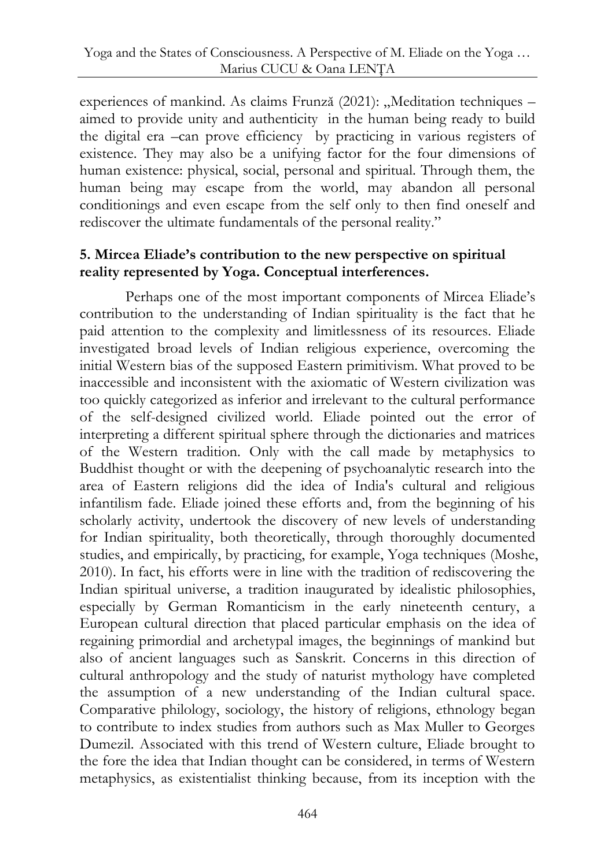experiences of mankind. As claims Frunză (2021): "Meditation techniques – aimed to provide unity and authenticity in the human being ready to build the digital era –can prove efficiency by practicing in various registers of existence. They may also be a unifying factor for the four dimensions of human existence: physical, social, personal and spiritual. Through them, the human being may escape from the world, may abandon all personal conditionings and even escape from the self only to then find oneself and rediscover the ultimate fundamentals of the personal reality."

#### **5. Mircea Eliade's contribution to the new perspective on spiritual reality represented by Yoga. Conceptual interferences.**

Perhaps one of the most important components of Mircea Eliade's contribution to the understanding of Indian spirituality is the fact that he paid attention to the complexity and limitlessness of its resources. Eliade investigated broad levels of Indian religious experience, overcoming the initial Western bias of the supposed Eastern primitivism. What proved to be inaccessible and inconsistent with the axiomatic of Western civilization was too quickly categorized as inferior and irrelevant to the cultural performance of the self-designed civilized world. Eliade pointed out the error of interpreting a different spiritual sphere through the dictionaries and matrices of the Western tradition. Only with the call made by metaphysics to Buddhist thought or with the deepening of psychoanalytic research into the area of Eastern religions did the idea of India's cultural and religious infantilism fade. Eliade joined these efforts and, from the beginning of his scholarly activity, undertook the discovery of new levels of understanding for Indian spirituality, both theoretically, through thoroughly documented studies, and empirically, by practicing, for example, Yoga techniques (Moshe, 2010). In fact, his efforts were in line with the tradition of rediscovering the Indian spiritual universe, a tradition inaugurated by idealistic philosophies, especially by German Romanticism in the early nineteenth century, a European cultural direction that placed particular emphasis on the idea of regaining primordial and archetypal images, the beginnings of mankind but also of ancient languages such as Sanskrit. Concerns in this direction of cultural anthropology and the study of naturist mythology have completed the assumption of a new understanding of the Indian cultural space. Comparative philology, sociology, the history of religions, ethnology began to contribute to index studies from authors such as Max Muller to Georges Dumezil. Associated with this trend of Western culture, Eliade brought to the fore the idea that Indian thought can be considered, in terms of Western metaphysics, as existentialist thinking because, from its inception with the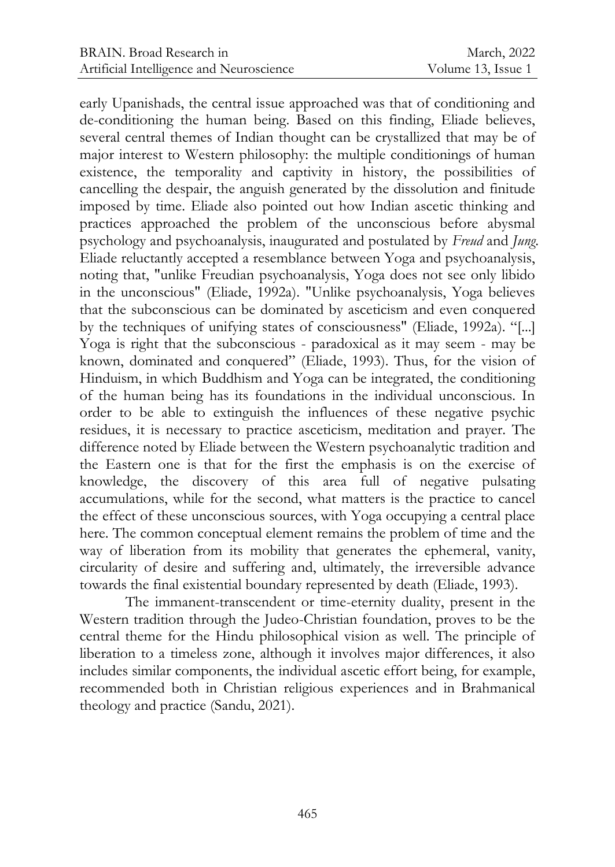early Upanishads, the central issue approached was that of conditioning and de-conditioning the human being. Based on this finding, Eliade believes, several central themes of Indian thought can be crystallized that may be of major interest to Western philosophy: the multiple conditionings of human existence, the temporality and captivity in history, the possibilities of cancelling the despair, the anguish generated by the dissolution and finitude imposed by time. Eliade also pointed out how Indian ascetic thinking and practices approached the problem of the unconscious before abysmal psychology and psychoanalysis, inaugurated and postulated by *Freud* and *Jung*. Eliade reluctantly accepted a resemblance between Yoga and psychoanalysis, noting that, "unlike Freudian psychoanalysis, Yoga does not see only libido in the unconscious" (Eliade, 1992a). "Unlike psychoanalysis, Yoga believes that the subconscious can be dominated by asceticism and even conquered by the techniques of unifying states of consciousness" (Eliade, 1992a). "[...] Yoga is right that the subconscious - paradoxical as it may seem - may be known, dominated and conquered" (Eliade, 1993). Thus, for the vision of Hinduism, in which Buddhism and Yoga can be integrated, the conditioning of the human being has its foundations in the individual unconscious. In order to be able to extinguish the influences of these negative psychic residues, it is necessary to practice asceticism, meditation and prayer. The difference noted by Eliade between the Western psychoanalytic tradition and the Eastern one is that for the first the emphasis is on the exercise of knowledge, the discovery of this area full of negative pulsating accumulations, while for the second, what matters is the practice to cancel the effect of these unconscious sources, with Yoga occupying a central place here. The common conceptual element remains the problem of time and the way of liberation from its mobility that generates the ephemeral, vanity, circularity of desire and suffering and, ultimately, the irreversible advance towards the final existential boundary represented by death (Eliade, 1993).

The immanent-transcendent or time-eternity duality, present in the Western tradition through the Judeo-Christian foundation, proves to be the central theme for the Hindu philosophical vision as well. The principle of liberation to a timeless zone, although it involves major differences, it also includes similar components, the individual ascetic effort being, for example, recommended both in Christian religious experiences and in Brahmanical theology and practice (Sandu, 2021).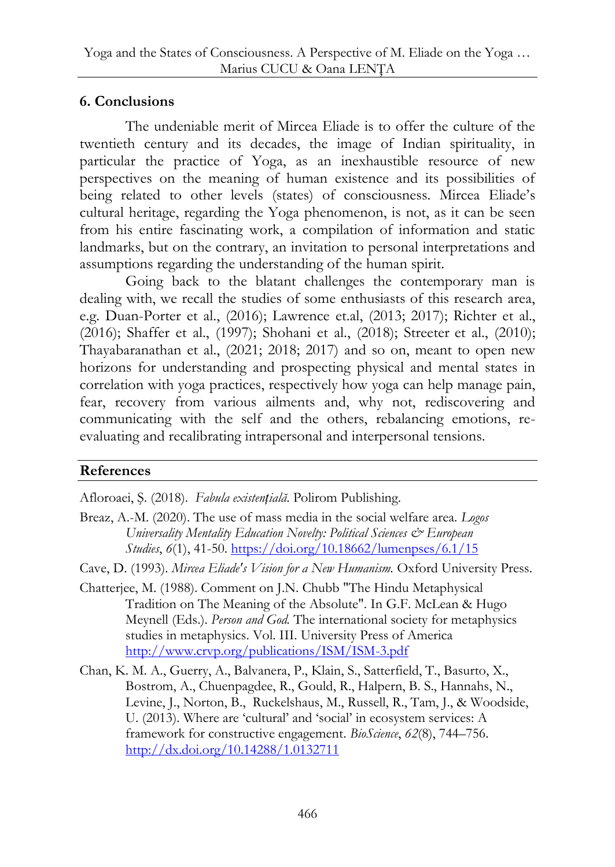## **6. Conclusions**

The undeniable merit of Mircea Eliade is to offer the culture of the twentieth century and its decades, the image of Indian spirituality, in particular the practice of Yoga, as an inexhaustible resource of new perspectives on the meaning of human existence and its possibilities of being related to other levels (states) of consciousness. Mircea Eliade's cultural heritage, regarding the Yoga phenomenon, is not, as it can be seen from his entire fascinating work, a compilation of information and static landmarks, but on the contrary, an invitation to personal interpretations and assumptions regarding the understanding of the human spirit.

Going back to the blatant challenges the contemporary man is dealing with, we recall the studies of some enthusiasts of this research area, e.g. Duan-Porter et al., (2016); Lawrence et.al, (2013; 2017); Richter et al., (2016); Shaffer et al., (1997); Shohani et al., (2018); Streeter et al., (2010); Thayabaranathan et al., (2021; 2018; 2017) and so on, meant to open new horizons for understanding and prospecting physical and mental states in correlation with yoga practices, respectively how yoga can help manage pain, fear, recovery from various ailments and, why not, rediscovering and communicating with the self and the others, rebalancing emotions, reevaluating and recalibrating intrapersonal and interpersonal tensions.

# **References**

Afloroaei, Ş. (2018). *Fabula existențială*. Polirom Publishing.

Breaz, A.-M. (2020). The use of mass media in the social welfare area. *Logos Universality Mentality Education Novelty: Political Sciences*  $\mathcal{Q}$  *European Studies*, *6*(1), 41-50.<https://doi.org/10.18662/lumenpses/6.1/15>

Cave, D. (1993). *Mircea Eliade's Vision for a New Humanism.* Oxford University Press.

- Chatterjee, M. (1988). Comment on J.N. Chubb "The Hindu Metaphysical Tradition on The Meaning of the Absolute". In G.F. McLean & Hugo Meynell (Eds.). *Person and God.* The international society for metaphysics studies in metaphysics. Vol. III. University Press of America <http://www.crvp.org/publications/ISM/ISM-3.pdf>
- Chan, K. M. A., Guerry, A., Balvanera, P., Klain, S., Satterfield, T., Basurto, X., Bostrom, A., Chuenpagdee, R., Gould, R., Halpern, B. S., Hannahs, N., Levine, J., Norton, B., Ruckelshaus, M., Russell, R., Tam, J., & Woodside, U. (2013). Where are 'cultural' and 'social' in ecosystem services: A framework for constructive engagement. *BioScience*, *62*(8), 744–756. <http://dx.doi.org/10.14288/1.0132711>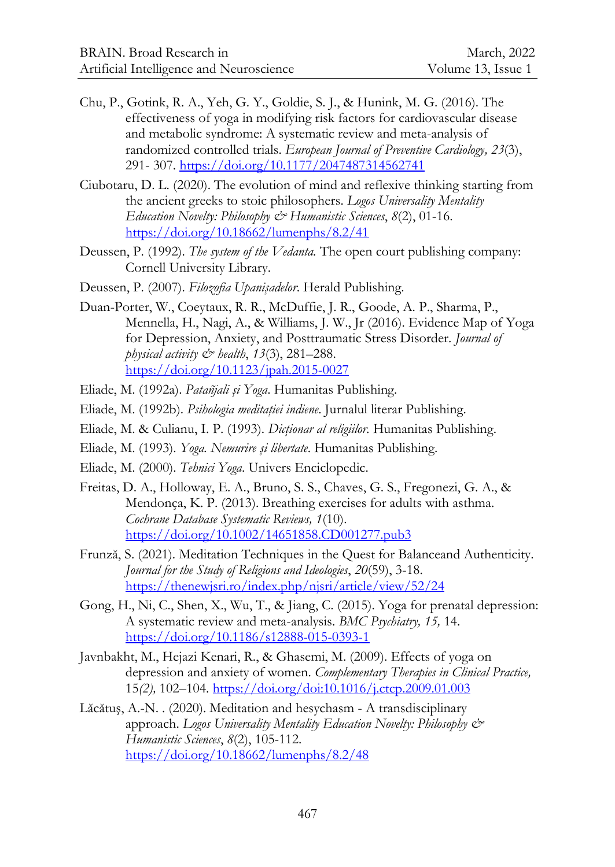- Chu, P., Gotink, R. A., Yeh, G. Y., Goldie, S. J., & Hunink, M. G. (2016). The effectiveness of yoga in modifying risk factors for cardiovascular disease and metabolic syndrome: A systematic review and meta-analysis of randomized controlled trials. *European Journal of Preventive Cardiology, 23*(3), 291- 307[. https://doi.org/10.1177/2047487314562741](https://doi.org/10.1177/2047487314562741)
- Ciubotaru, D. L. (2020). The evolution of mind and reflexive thinking starting from the ancient greeks to stoic philosophers. *Logos Universality Mentality Education Novelty: Philosophy & Humanistic Sciences*, *8*(2), 01-16. <https://doi.org/10.18662/lumenphs/8.2/41>
- Deussen, P. (1992). *The system of the Vedanta.* The open court publishing company: Cornell University Library.
- Deussen, P. (2007). *Filozofia Upanişadelor*. Herald Publishing.
- Duan-Porter, W., Coeytaux, R. R., McDuffie, J. R., Goode, A. P., Sharma, P., Mennella, H., Nagi, A., & Williams, J. W., Jr (2016). Evidence Map of Yoga for Depression, Anxiety, and Posttraumatic Stress Disorder. *Journal of physical activity & health*, *13*(3), 281–288. <https://doi.org/10.1123/jpah.2015-0027>
- Eliade, M. (1992a). *Patañjali şi Yoga*. Humanitas Publishing.
- Eliade, M. (1992b). *Psihologia meditaţiei indiene*. Jurnalul literar Publishing.
- Eliade, M. & Culianu, I. P. (1993). *Dicţionar al religiilor.* Humanitas Publishing.
- Eliade, M. (1993). *Yoga. Nemurire şi libertate*. Humanitas Publishing.
- Eliade, M. (2000). *Tehnici Yoga*. Univers Enciclopedic.
- Freitas, D. A., Holloway, E. A., Bruno, S. S., Chaves, G. S., Fregonezi, G. A., & Mendonça, K. P. (2013). Breathing exercises for adults with asthma. *Cochrane Database Systematic Reviews, 1*(10). <https://doi.org/10.1002/14651858.CD001277.pub3>
- Frunză, S. (2021). Meditation Techniques in the Quest for Balanceand Authenticity. *Journal for the Study of Religions and Ideologies*, *20*(59), 3-18. <https://thenewjsri.ro/index.php/njsri/article/view/52/24>
- Gong, H., Ni, C., Shen, X., Wu, T., & Jiang, C. (2015). Yoga for prenatal depression: A systematic review and meta-analysis. *BMC Psychiatry, 15,* 14. <https://doi.org/10.1186/s12888-015-0393-1>
- Javnbakht, M., Hejazi Kenari, R., & Ghasemi, M. (2009). Effects of yoga on depression and anxiety of women. *Complementary Therapies in Clinical Practice,*  15*(2),* 102–104.<https://doi.org/doi:10.1016/j.ctcp.2009.01.003>
- Lăcătuş, A.-N. . (2020). Meditation and hesychasm A transdisciplinary approach. *Logos Universality Mentality Education Novelty: Philosophy & Humanistic Sciences*, *8*(2), 105-112. <https://doi.org/10.18662/lumenphs/8.2/48>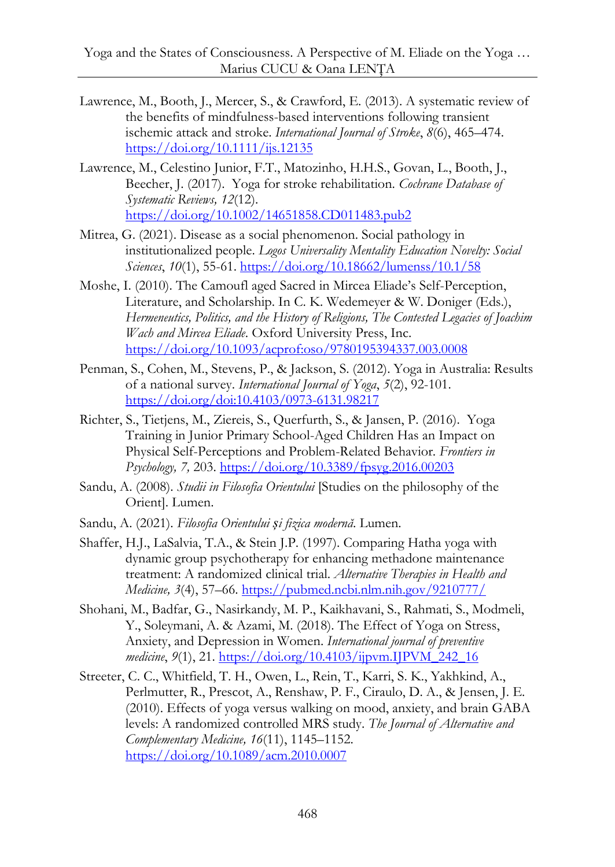- Lawrence, M., Booth, J., Mercer, S., & Crawford, E. (2013). A systematic review of the benefits of mindfulness-based interventions following transient ischemic attack and stroke. *International Journal of Stroke*, *8*(6), 465–474. <https://doi.org/10.1111/ijs.12135>
- Lawrence, M., Celestino Junior, F.T., Matozinho, H.H.S., Govan, L., Booth, J., Beecher, J. (2017). Yoga for stroke rehabilitation. *[Cochrane Database of](https://www.cochranelibrary.com/)  [Systematic Reviews,](https://www.cochranelibrary.com/) 12*(12). <https://doi.org/10.1002/14651858.CD011483.pub2>
- Mitrea, G. (2021). Disease as a social phenomenon. Social pathology in institutionalized people. *Logos Universality Mentality Education Novelty: Social Sciences*, *10*(1), 55-61.<https://doi.org/10.18662/lumenss/10.1/58>
- Moshe, I. (2010). The Camoufl aged Sacred in Mircea Eliade's Self-Perception, Literature, and Scholarship. In C. K. Wedemeyer & W. Doniger (Eds.), *Hermeneutics, Politics, and the History of Religions, The Contested Legacies of Joachim Wach and Mircea Eliade*. Oxford University Press, Inc. <https://doi.org/10.1093/acprof:oso/9780195394337.003.0008>
- Penman, S., Cohen, M., Stevens, P., & Jackson, S. (2012). Yoga in Australia: Results of a national survey. *International Journal of Yoga*, *5*(2), 92-101. <https://doi.org/doi:10.4103/0973-6131.98217>
- Richter, S., Tietjens, M., Ziereis, S., Querfurth, S., & Jansen, P. (2016). Yoga Training in Junior Primary School-Aged Children Has an Impact on Physical Self-Perceptions and Problem-Related Behavior. *Frontiers in Psychology, 7,* 203.<https://doi.org/10.3389/fpsyg.2016.00203>
- Sandu, A. (2008). *Studii in Filosofia Orientului* [Studies on the philosophy of the Orient]. Lumen.
- Sandu, A. (2021). *Filosofia Orientului și fizica modernă*. Lumen.
- Shaffer, H.J., LaSalvia, T.A., & Stein J.P. (1997). Comparing Hatha yoga with dynamic group psychotherapy for enhancing methadone maintenance treatment: A randomized clinical trial. *Alternative Therapies in Health and Medicine, 3*(4), 57–66.<https://pubmed.ncbi.nlm.nih.gov/9210777/>
- Shohani, M., Badfar, G., Nasirkandy, M. P., Kaikhavani, S., Rahmati, S., Modmeli, Y., Soleymani, A. & Azami, M. (2018). The Effect of Yoga on Stress, Anxiety, and Depression in Women. *International journal of preventive medicine*, *9*(1), 21. [https://doi.org/10.4103/ijpvm.IJPVM\\_242\\_16](https://doi.org/10.4103/ijpvm.IJPVM_242_16)
- Streeter, C. C., Whitfield, T. H., Owen, L., Rein, T., Karri, S. K., Yakhkind, A., Perlmutter, R., Prescot, A., Renshaw, P. F., Ciraulo, D. A., & Jensen, J. E. (2010). Effects of yoga versus walking on mood, anxiety, and brain GABA levels: A randomized controlled MRS study. *[The Journal of Alternative and](https://www.liebertpub.com/journal/acm)  [Complementary Medicine,](https://www.liebertpub.com/journal/acm) 16*(11), 1145–1152. <https://doi.org/10.1089/acm.2010.0007>